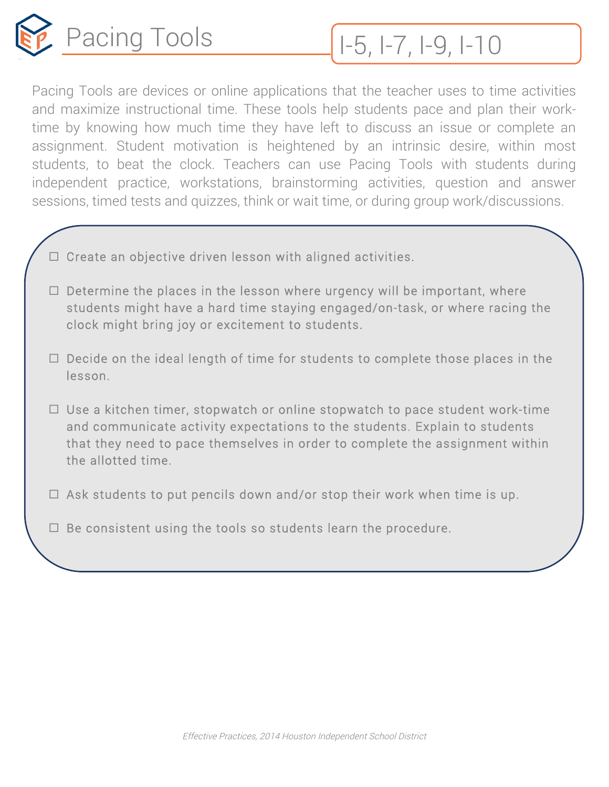

Pacing Tools are devices or online applications that the teacher uses to time activities and maximize instructional time. These tools help students pace and plan their worktime by knowing how much time they have left to discuss an issue or complete an assignment. Student motivation is heightened by an intrinsic desire, within most students, to beat the clock. Teachers can use Pacing Tools with students during independent practice, workstations, brainstorming activities, question and answer sessions, timed tests and quizzes, think or wait time, or during group work/discussions.

- $\Box$  Create an objective driven lesson with aligned activities.
- $\Box$  Determine the places in the lesson where urgency will be important, where students might have a hard time staying engaged/on-task, or where racing the clock might bring joy or excitement to students.
- $\Box$  Decide on the ideal length of time for students to complete those places in the lesson.
- $\Box$  Use a kitchen timer, stopwatch or online stopwatch to pace student work-time and communicate activity expectations to the students. Explain to students that they need to pace themselves in order to complete the assignment within the allotted time.
- $\Box$  Ask students to put pencils down and/or stop their work when time is up.
- $\Box$  Be consistent using the tools so students learn the procedure.